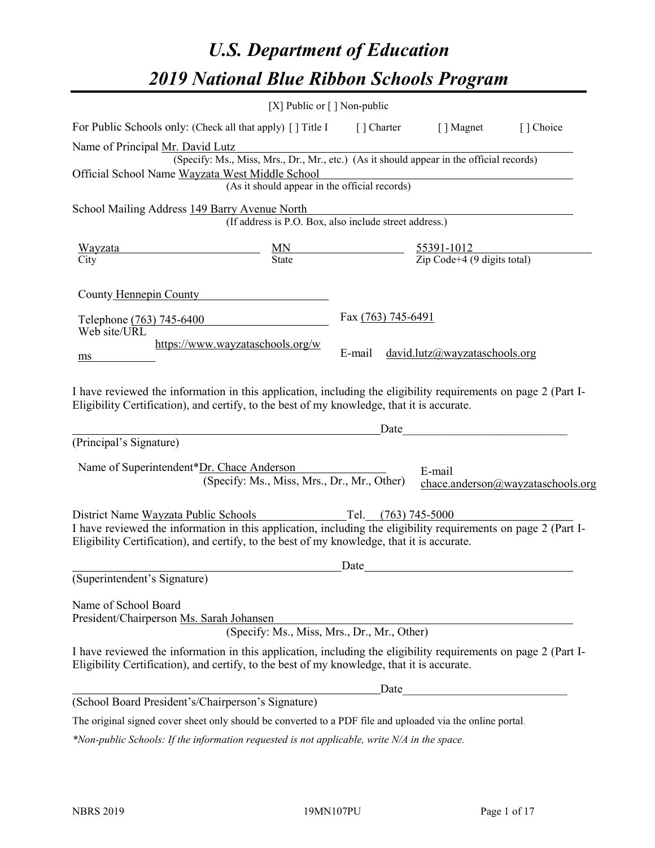# *U.S. Department of Education 2019 National Blue Ribbon Schools Program*

|                                                                                                                                                                                                                                                      | [X] Public or $\lceil$ ] Non-public                                                      |                     |                                                                 |                                   |
|------------------------------------------------------------------------------------------------------------------------------------------------------------------------------------------------------------------------------------------------------|------------------------------------------------------------------------------------------|---------------------|-----------------------------------------------------------------|-----------------------------------|
| For Public Schools only: (Check all that apply) [] Title I                                                                                                                                                                                           |                                                                                          | [] Charter          | [ ] Magnet                                                      | [] Choice                         |
| Name of Principal Mr. David Lutz                                                                                                                                                                                                                     |                                                                                          |                     |                                                                 |                                   |
|                                                                                                                                                                                                                                                      | (Specify: Ms., Miss, Mrs., Dr., Mr., etc.) (As it should appear in the official records) |                     |                                                                 |                                   |
| Official School Name Wayzata West Middle School                                                                                                                                                                                                      | (As it should appear in the official records)                                            |                     |                                                                 |                                   |
| School Mailing Address 149 Barry Avenue North                                                                                                                                                                                                        |                                                                                          |                     |                                                                 |                                   |
|                                                                                                                                                                                                                                                      | (If address is P.O. Box, also include street address.)                                   |                     |                                                                 |                                   |
| Wayzata                                                                                                                                                                                                                                              | $\frac{MN}{State}$                                                                       |                     | $\frac{55391-1012}{\text{Zip Code}+4 (9 \text{ digits total})}$ |                                   |
| City                                                                                                                                                                                                                                                 |                                                                                          |                     |                                                                 |                                   |
| County Hennepin County                                                                                                                                                                                                                               |                                                                                          |                     |                                                                 |                                   |
| Telephone (763) 745-6400                                                                                                                                                                                                                             |                                                                                          | Fax (763) 745-6491  |                                                                 |                                   |
| Web site/URL                                                                                                                                                                                                                                         |                                                                                          |                     |                                                                 |                                   |
| ms                                                                                                                                                                                                                                                   | https://www.wayzataschools.org/w                                                         | E-mail              | david. lutz@wayzataschools.org                                  |                                   |
| Eligibility Certification), and certify, to the best of my knowledge, that it is accurate.<br>(Principal's Signature)                                                                                                                                |                                                                                          | Date                |                                                                 |                                   |
| Name of Superintendent*Dr. Chace Anderson                                                                                                                                                                                                            | (Specify: Ms., Miss, Mrs., Dr., Mr., Other)                                              |                     | E-mail                                                          | chace.anderson@wayzataschools.org |
| District Name Wayzata Public Schools<br>I have reviewed the information in this application, including the eligibility requirements on page 2 (Part I-<br>Eligibility Certification), and certify, to the best of my knowledge, that it is accurate. |                                                                                          | Tel. (763) 745-5000 |                                                                 |                                   |
|                                                                                                                                                                                                                                                      |                                                                                          | Date                |                                                                 |                                   |
| (Superintendent's Signature)                                                                                                                                                                                                                         |                                                                                          |                     |                                                                 |                                   |
| Name of School Board<br>President/Chairperson Ms. Sarah Johansen                                                                                                                                                                                     | (Specify: Ms., Miss, Mrs., Dr., Mr., Other)                                              |                     |                                                                 |                                   |
| I have reviewed the information in this application, including the eligibility requirements on page 2 (Part I-<br>Eligibility Certification), and certify, to the best of my knowledge, that it is accurate.                                         |                                                                                          |                     |                                                                 |                                   |
|                                                                                                                                                                                                                                                      |                                                                                          | Date                |                                                                 |                                   |
| (School Board President's/Chairperson's Signature)                                                                                                                                                                                                   |                                                                                          |                     |                                                                 |                                   |
| The original signed cover sheet only should be converted to a PDF file and uploaded via the online portal.                                                                                                                                           |                                                                                          |                     |                                                                 |                                   |

*\*Non-public Schools: If the information requested is not applicable, write N/A in the space.*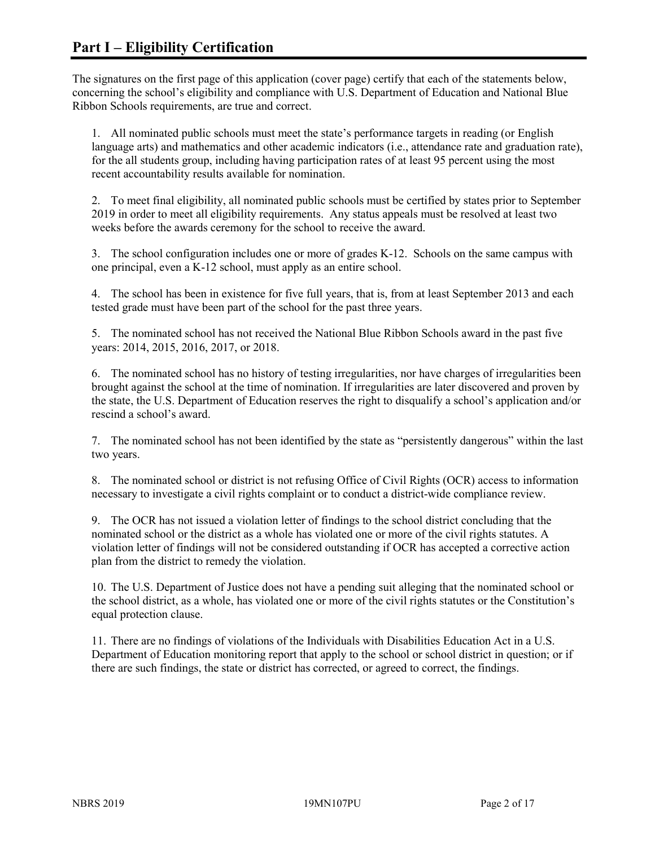The signatures on the first page of this application (cover page) certify that each of the statements below, concerning the school's eligibility and compliance with U.S. Department of Education and National Blue Ribbon Schools requirements, are true and correct.

1. All nominated public schools must meet the state's performance targets in reading (or English language arts) and mathematics and other academic indicators (i.e., attendance rate and graduation rate), for the all students group, including having participation rates of at least 95 percent using the most recent accountability results available for nomination.

2. To meet final eligibility, all nominated public schools must be certified by states prior to September 2019 in order to meet all eligibility requirements. Any status appeals must be resolved at least two weeks before the awards ceremony for the school to receive the award.

3. The school configuration includes one or more of grades K-12. Schools on the same campus with one principal, even a K-12 school, must apply as an entire school.

4. The school has been in existence for five full years, that is, from at least September 2013 and each tested grade must have been part of the school for the past three years.

5. The nominated school has not received the National Blue Ribbon Schools award in the past five years: 2014, 2015, 2016, 2017, or 2018.

6. The nominated school has no history of testing irregularities, nor have charges of irregularities been brought against the school at the time of nomination. If irregularities are later discovered and proven by the state, the U.S. Department of Education reserves the right to disqualify a school's application and/or rescind a school's award.

7. The nominated school has not been identified by the state as "persistently dangerous" within the last two years.

8. The nominated school or district is not refusing Office of Civil Rights (OCR) access to information necessary to investigate a civil rights complaint or to conduct a district-wide compliance review.

9. The OCR has not issued a violation letter of findings to the school district concluding that the nominated school or the district as a whole has violated one or more of the civil rights statutes. A violation letter of findings will not be considered outstanding if OCR has accepted a corrective action plan from the district to remedy the violation.

10. The U.S. Department of Justice does not have a pending suit alleging that the nominated school or the school district, as a whole, has violated one or more of the civil rights statutes or the Constitution's equal protection clause.

11. There are no findings of violations of the Individuals with Disabilities Education Act in a U.S. Department of Education monitoring report that apply to the school or school district in question; or if there are such findings, the state or district has corrected, or agreed to correct, the findings.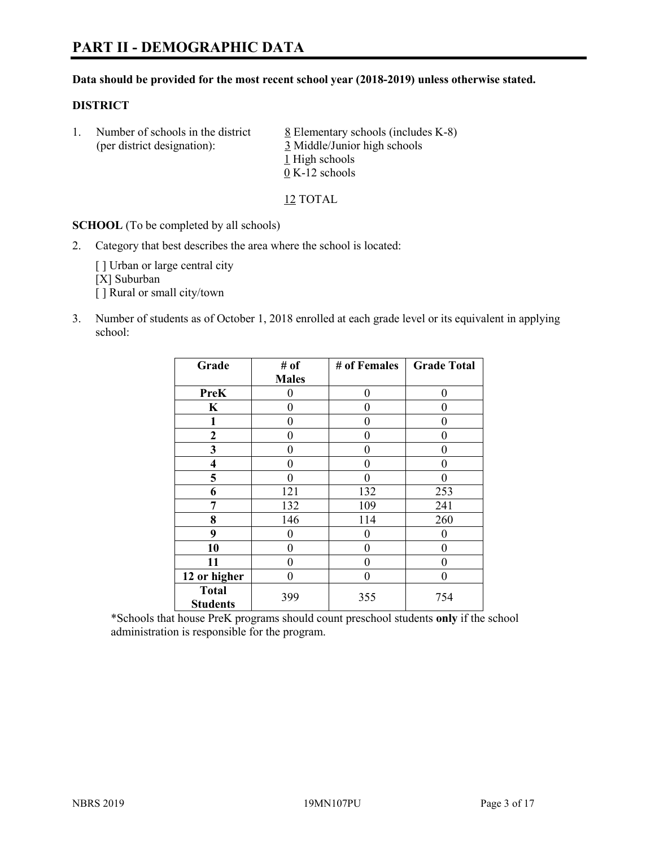#### **Data should be provided for the most recent school year (2018-2019) unless otherwise stated.**

#### **DISTRICT**

1. Number of schools in the district  $8$  Elementary schools (includes K-8) (per district designation): 3 Middle/Junior high schools 1 High schools 0 K-12 schools

12 TOTAL

**SCHOOL** (To be completed by all schools)

2. Category that best describes the area where the school is located:

[ ] Urban or large central city [X] Suburban [] Rural or small city/town

3. Number of students as of October 1, 2018 enrolled at each grade level or its equivalent in applying school:

| Grade                           | # of         | # of Females | <b>Grade Total</b> |
|---------------------------------|--------------|--------------|--------------------|
|                                 | <b>Males</b> |              |                    |
| PreK                            | 0            | 0            | 0                  |
| $\mathbf K$                     | 0            | 0            | 0                  |
| 1                               | 0            | 0            | 0                  |
| 2                               | 0            | 0            | 0                  |
| 3                               | 0            | 0            | 0                  |
| 4                               | $\theta$     | 0            | 0                  |
| 5                               | 0            | 0            | 0                  |
| 6                               | 121          | 132          | 253                |
| 7                               | 132          | 109          | 241                |
| 8                               | 146          | 114          | 260                |
| 9                               | 0            | 0            | 0                  |
| 10                              | 0            | 0            | 0                  |
| 11                              | $\theta$     | 0            | 0                  |
| 12 or higher                    | $\mathbf{0}$ | 0            | 0                  |
| <b>Total</b><br><b>Students</b> | 399          | 355          | 754                |

\*Schools that house PreK programs should count preschool students **only** if the school administration is responsible for the program.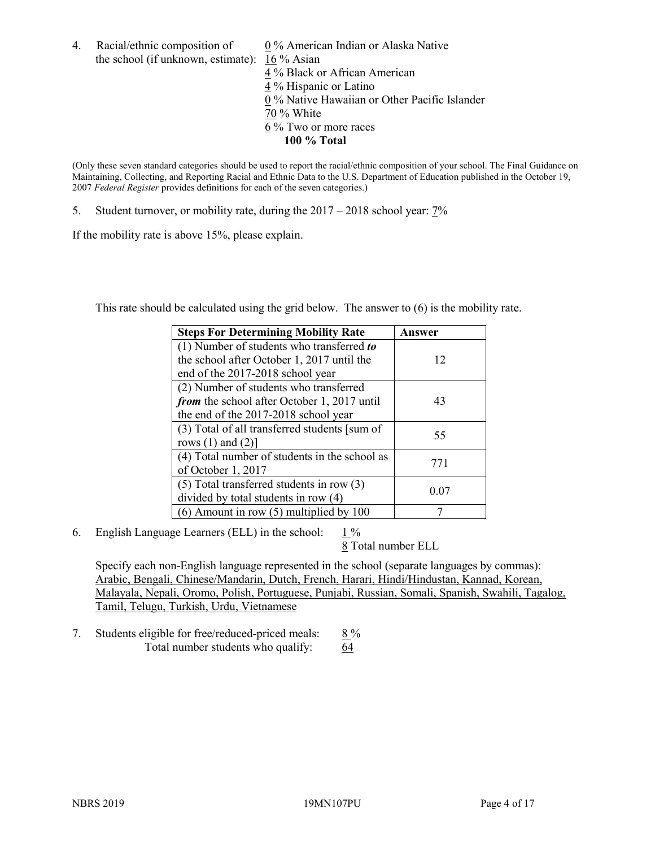4. Racial/ethnic composition of  $0\%$  American Indian or Alaska Native the school (if unknown, estimate): 16 % Asian

 % Black or African American % Hispanic or Latino % Native Hawaiian or Other Pacific Islander 70 % White % Two or more races **100 % Total**

(Only these seven standard categories should be used to report the racial/ethnic composition of your school. The Final Guidance on Maintaining, Collecting, and Reporting Racial and Ethnic Data to the U.S. Department of Education published in the October 19, 2007 *Federal Register* provides definitions for each of the seven categories.)

5. Student turnover, or mobility rate, during the 2017 – 2018 school year: 7%

If the mobility rate is above 15%, please explain.

This rate should be calculated using the grid below. The answer to (6) is the mobility rate.

| <b>Steps For Determining Mobility Rate</b>         | Answer |
|----------------------------------------------------|--------|
| (1) Number of students who transferred to          |        |
| the school after October 1, 2017 until the         | 12     |
| end of the 2017-2018 school year                   |        |
| (2) Number of students who transferred             |        |
| <i>from</i> the school after October 1, 2017 until | 43     |
| the end of the 2017-2018 school year               |        |
| (3) Total of all transferred students [sum of      | 55     |
| rows $(1)$ and $(2)$ ]                             |        |
| (4) Total number of students in the school as      |        |
| of October 1, 2017                                 | 771    |
| $(5)$ Total transferred students in row $(3)$      |        |
| divided by total students in row (4)               | 0.07   |
| $(6)$ Amount in row $(5)$ multiplied by 100        |        |

6. English Language Learners (ELL) in the school:  $1\%$ 

8 Total number ELL

Specify each non-English language represented in the school (separate languages by commas): Arabic, Bengali, Chinese/Mandarin, Dutch, French, Harari, Hindi/Hindustan, Kannad, Korean, Malayala, Nepali, Oromo, Polish, Portuguese, Punjabi, Russian, Somali, Spanish, Swahili, Tagalog, Tamil, Telugu, Turkish, Urdu, Vietnamese

7. Students eligible for free/reduced-priced meals:  $8\%$ Total number students who qualify:  $64$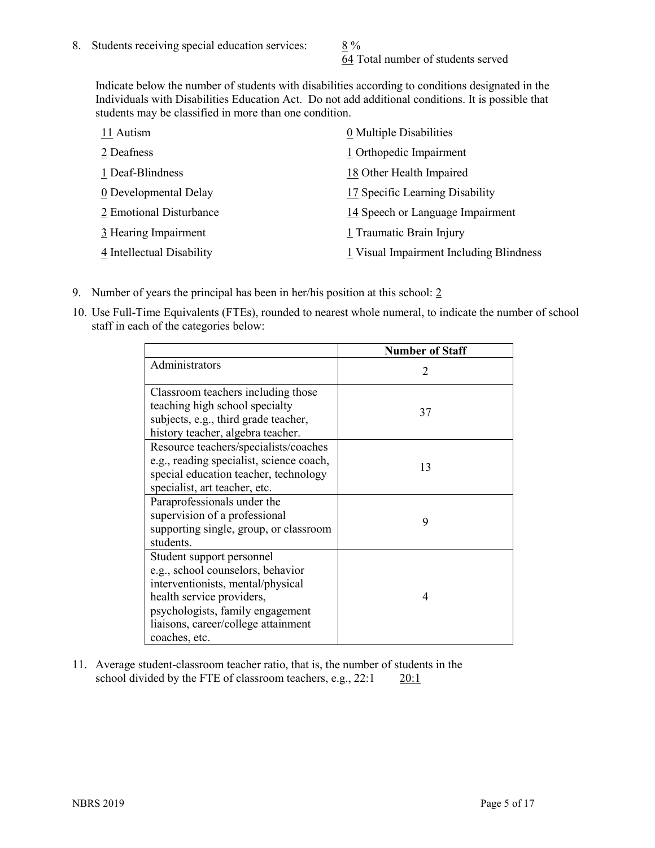64 Total number of students served

Indicate below the number of students with disabilities according to conditions designated in the Individuals with Disabilities Education Act. Do not add additional conditions. It is possible that students may be classified in more than one condition.

| 11 Autism                 | 0 Multiple Disabilities                 |
|---------------------------|-----------------------------------------|
| 2 Deafness                | 1 Orthopedic Impairment                 |
| 1 Deaf-Blindness          | 18 Other Health Impaired                |
| 0 Developmental Delay     | 17 Specific Learning Disability         |
| 2 Emotional Disturbance   | 14 Speech or Language Impairment        |
| 3 Hearing Impairment      | 1 Traumatic Brain Injury                |
| 4 Intellectual Disability | 1 Visual Impairment Including Blindness |

- 9. Number of years the principal has been in her/his position at this school: 2
- 10. Use Full-Time Equivalents (FTEs), rounded to nearest whole numeral, to indicate the number of school staff in each of the categories below:

|                                                                                                                                                                                                                              | <b>Number of Staff</b>      |
|------------------------------------------------------------------------------------------------------------------------------------------------------------------------------------------------------------------------------|-----------------------------|
| Administrators                                                                                                                                                                                                               | $\mathcal{D}_{\mathcal{L}}$ |
| Classroom teachers including those<br>teaching high school specialty<br>subjects, e.g., third grade teacher,<br>history teacher, algebra teacher.                                                                            | 37                          |
| Resource teachers/specialists/coaches<br>e.g., reading specialist, science coach,<br>special education teacher, technology<br>specialist, art teacher, etc.                                                                  | 13                          |
| Paraprofessionals under the<br>supervision of a professional<br>supporting single, group, or classroom<br>students.                                                                                                          | 9                           |
| Student support personnel<br>e.g., school counselors, behavior<br>interventionists, mental/physical<br>health service providers,<br>psychologists, family engagement<br>liaisons, career/college attainment<br>coaches, etc. | 4                           |

11. Average student-classroom teacher ratio, that is, the number of students in the school divided by the FTE of classroom teachers, e.g., 22:1 20:1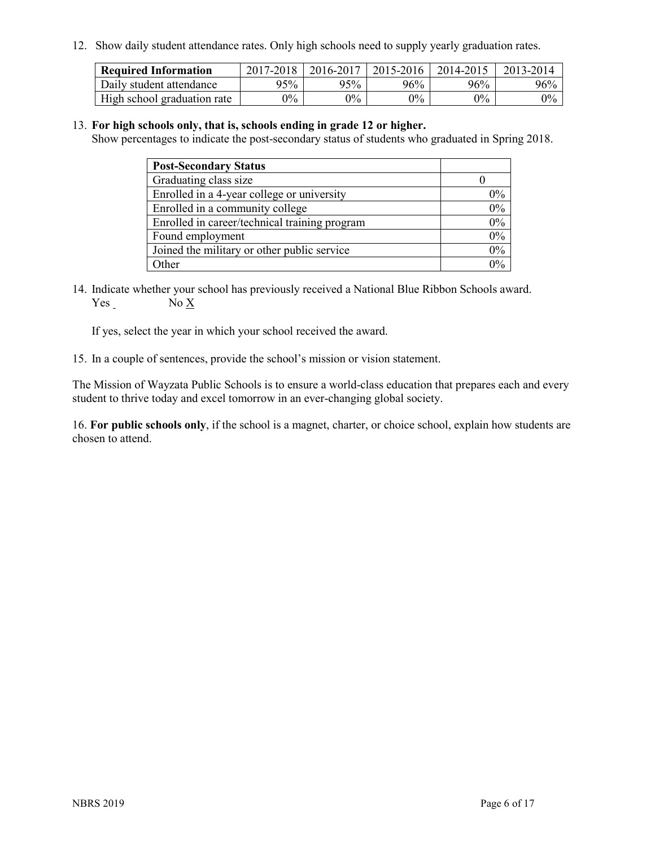12. Show daily student attendance rates. Only high schools need to supply yearly graduation rates.

| <b>Required Information</b> | 2017-2018 | 2016-2017 | 2015-2016 | 2014-2015 | 2013-2014 |
|-----------------------------|-----------|-----------|-----------|-----------|-----------|
| Daily student attendance    | 95%       | 95%       | 96%       | 96%       | 96%       |
| High school graduation rate | $0\%$     | $0\%$     | $0\%$     | $9\%$     | $0\%$     |

#### 13. **For high schools only, that is, schools ending in grade 12 or higher.**

Show percentages to indicate the post-secondary status of students who graduated in Spring 2018.

| <b>Post-Secondary Status</b>                  |       |
|-----------------------------------------------|-------|
| Graduating class size                         |       |
| Enrolled in a 4-year college or university    | $0\%$ |
| Enrolled in a community college               | 0%    |
| Enrolled in career/technical training program | 0%    |
| Found employment                              | 0%    |
| Joined the military or other public service   | 0%    |
| Other                                         | በ‰    |

14. Indicate whether your school has previously received a National Blue Ribbon Schools award. Yes No X

If yes, select the year in which your school received the award.

15. In a couple of sentences, provide the school's mission or vision statement.

The Mission of Wayzata Public Schools is to ensure a world-class education that prepares each and every student to thrive today and excel tomorrow in an ever-changing global society.

16. **For public schools only**, if the school is a magnet, charter, or choice school, explain how students are chosen to attend.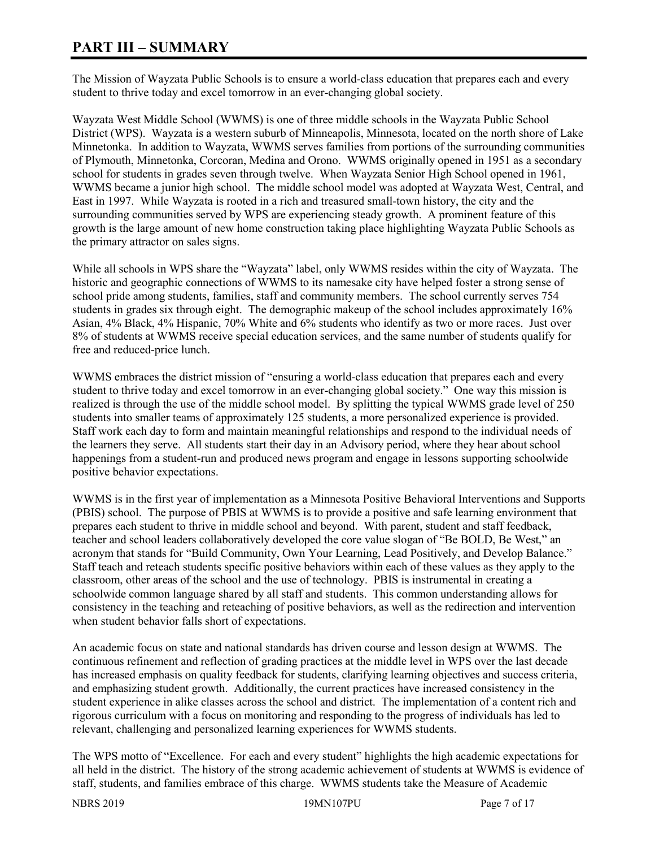# **PART III – SUMMARY**

The Mission of Wayzata Public Schools is to ensure a world-class education that prepares each and every student to thrive today and excel tomorrow in an ever-changing global society.

Wayzata West Middle School (WWMS) is one of three middle schools in the Wayzata Public School District (WPS). Wayzata is a western suburb of Minneapolis, Minnesota, located on the north shore of Lake Minnetonka. In addition to Wayzata, WWMS serves families from portions of the surrounding communities of Plymouth, Minnetonka, Corcoran, Medina and Orono. WWMS originally opened in 1951 as a secondary school for students in grades seven through twelve. When Wayzata Senior High School opened in 1961, WWMS became a junior high school. The middle school model was adopted at Wayzata West, Central, and East in 1997. While Wayzata is rooted in a rich and treasured small-town history, the city and the surrounding communities served by WPS are experiencing steady growth. A prominent feature of this growth is the large amount of new home construction taking place highlighting Wayzata Public Schools as the primary attractor on sales signs.

While all schools in WPS share the "Wayzata" label, only WWMS resides within the city of Wayzata. The historic and geographic connections of WWMS to its namesake city have helped foster a strong sense of school pride among students, families, staff and community members. The school currently serves 754 students in grades six through eight. The demographic makeup of the school includes approximately 16% Asian, 4% Black, 4% Hispanic, 70% White and 6% students who identify as two or more races. Just over 8% of students at WWMS receive special education services, and the same number of students qualify for free and reduced-price lunch.

WWMS embraces the district mission of "ensuring a world-class education that prepares each and every student to thrive today and excel tomorrow in an ever-changing global society." One way this mission is realized is through the use of the middle school model. By splitting the typical WWMS grade level of 250 students into smaller teams of approximately 125 students, a more personalized experience is provided. Staff work each day to form and maintain meaningful relationships and respond to the individual needs of the learners they serve. All students start their day in an Advisory period, where they hear about school happenings from a student-run and produced news program and engage in lessons supporting schoolwide positive behavior expectations.

WWMS is in the first year of implementation as a Minnesota Positive Behavioral Interventions and Supports (PBIS) school. The purpose of PBIS at WWMS is to provide a positive and safe learning environment that prepares each student to thrive in middle school and beyond. With parent, student and staff feedback, teacher and school leaders collaboratively developed the core value slogan of "Be BOLD, Be West," an acronym that stands for "Build Community, Own Your Learning, Lead Positively, and Develop Balance." Staff teach and reteach students specific positive behaviors within each of these values as they apply to the classroom, other areas of the school and the use of technology. PBIS is instrumental in creating a schoolwide common language shared by all staff and students. This common understanding allows for consistency in the teaching and reteaching of positive behaviors, as well as the redirection and intervention when student behavior falls short of expectations.

An academic focus on state and national standards has driven course and lesson design at WWMS. The continuous refinement and reflection of grading practices at the middle level in WPS over the last decade has increased emphasis on quality feedback for students, clarifying learning objectives and success criteria, and emphasizing student growth. Additionally, the current practices have increased consistency in the student experience in alike classes across the school and district. The implementation of a content rich and rigorous curriculum with a focus on monitoring and responding to the progress of individuals has led to relevant, challenging and personalized learning experiences for WWMS students.

The WPS motto of "Excellence. For each and every student" highlights the high academic expectations for all held in the district. The history of the strong academic achievement of students at WWMS is evidence of staff, students, and families embrace of this charge. WWMS students take the Measure of Academic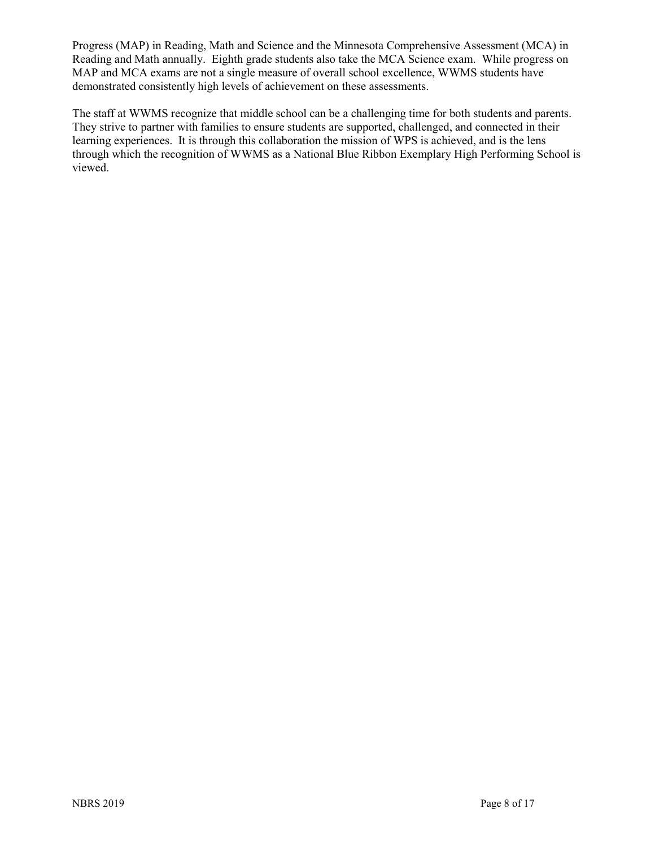Progress (MAP) in Reading, Math and Science and the Minnesota Comprehensive Assessment (MCA) in Reading and Math annually. Eighth grade students also take the MCA Science exam. While progress on MAP and MCA exams are not a single measure of overall school excellence, WWMS students have demonstrated consistently high levels of achievement on these assessments.

The staff at WWMS recognize that middle school can be a challenging time for both students and parents. They strive to partner with families to ensure students are supported, challenged, and connected in their learning experiences. It is through this collaboration the mission of WPS is achieved, and is the lens through which the recognition of WWMS as a National Blue Ribbon Exemplary High Performing School is viewed.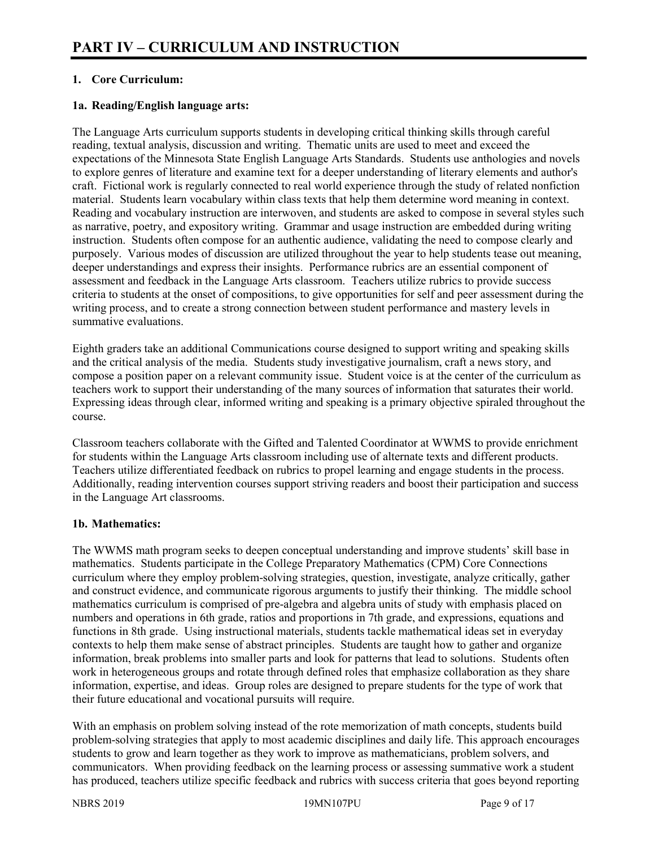# **1. Core Curriculum:**

# **1a. Reading/English language arts:**

The Language Arts curriculum supports students in developing critical thinking skills through careful reading, textual analysis, discussion and writing. Thematic units are used to meet and exceed the expectations of the Minnesota State English Language Arts Standards. Students use anthologies and novels to explore genres of literature and examine text for a deeper understanding of literary elements and author's craft. Fictional work is regularly connected to real world experience through the study of related nonfiction material. Students learn vocabulary within class texts that help them determine word meaning in context. Reading and vocabulary instruction are interwoven, and students are asked to compose in several styles such as narrative, poetry, and expository writing. Grammar and usage instruction are embedded during writing instruction. Students often compose for an authentic audience, validating the need to compose clearly and purposely. Various modes of discussion are utilized throughout the year to help students tease out meaning, deeper understandings and express their insights. Performance rubrics are an essential component of assessment and feedback in the Language Arts classroom. Teachers utilize rubrics to provide success criteria to students at the onset of compositions, to give opportunities for self and peer assessment during the writing process, and to create a strong connection between student performance and mastery levels in summative evaluations.

Eighth graders take an additional Communications course designed to support writing and speaking skills and the critical analysis of the media. Students study investigative journalism, craft a news story, and compose a position paper on a relevant community issue. Student voice is at the center of the curriculum as teachers work to support their understanding of the many sources of information that saturates their world. Expressing ideas through clear, informed writing and speaking is a primary objective spiraled throughout the course.

Classroom teachers collaborate with the Gifted and Talented Coordinator at WWMS to provide enrichment for students within the Language Arts classroom including use of alternate texts and different products. Teachers utilize differentiated feedback on rubrics to propel learning and engage students in the process. Additionally, reading intervention courses support striving readers and boost their participation and success in the Language Art classrooms.

#### **1b. Mathematics:**

The WWMS math program seeks to deepen conceptual understanding and improve students' skill base in mathematics. Students participate in the College Preparatory Mathematics (CPM) Core Connections curriculum where they employ problem-solving strategies, question, investigate, analyze critically, gather and construct evidence, and communicate rigorous arguments to justify their thinking. The middle school mathematics curriculum is comprised of pre-algebra and algebra units of study with emphasis placed on numbers and operations in 6th grade, ratios and proportions in 7th grade, and expressions, equations and functions in 8th grade. Using instructional materials, students tackle mathematical ideas set in everyday contexts to help them make sense of abstract principles. Students are taught how to gather and organize information, break problems into smaller parts and look for patterns that lead to solutions. Students often work in heterogeneous groups and rotate through defined roles that emphasize collaboration as they share information, expertise, and ideas. Group roles are designed to prepare students for the type of work that their future educational and vocational pursuits will require.

With an emphasis on problem solving instead of the rote memorization of math concepts, students build problem-solving strategies that apply to most academic disciplines and daily life. This approach encourages students to grow and learn together as they work to improve as mathematicians, problem solvers, and communicators. When providing feedback on the learning process or assessing summative work a student has produced, teachers utilize specific feedback and rubrics with success criteria that goes beyond reporting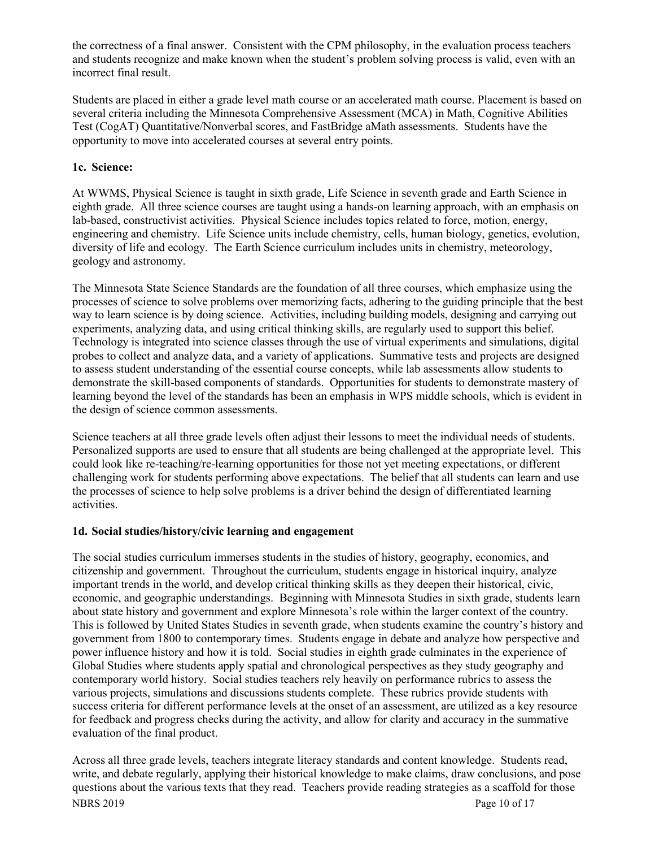the correctness of a final answer. Consistent with the CPM philosophy, in the evaluation process teachers and students recognize and make known when the student's problem solving process is valid, even with an incorrect final result.

Students are placed in either a grade level math course or an accelerated math course. Placement is based on several criteria including the Minnesota Comprehensive Assessment (MCA) in Math, Cognitive Abilities Test (CogAT) Quantitative/Nonverbal scores, and FastBridge aMath assessments. Students have the opportunity to move into accelerated courses at several entry points.

# **1c. Science:**

At WWMS, Physical Science is taught in sixth grade, Life Science in seventh grade and Earth Science in eighth grade. All three science courses are taught using a hands-on learning approach, with an emphasis on lab-based, constructivist activities. Physical Science includes topics related to force, motion, energy, engineering and chemistry. Life Science units include chemistry, cells, human biology, genetics, evolution, diversity of life and ecology. The Earth Science curriculum includes units in chemistry, meteorology, geology and astronomy.

The Minnesota State Science Standards are the foundation of all three courses, which emphasize using the processes of science to solve problems over memorizing facts, adhering to the guiding principle that the best way to learn science is by doing science. Activities, including building models, designing and carrying out experiments, analyzing data, and using critical thinking skills, are regularly used to support this belief. Technology is integrated into science classes through the use of virtual experiments and simulations, digital probes to collect and analyze data, and a variety of applications. Summative tests and projects are designed to assess student understanding of the essential course concepts, while lab assessments allow students to demonstrate the skill-based components of standards. Opportunities for students to demonstrate mastery of learning beyond the level of the standards has been an emphasis in WPS middle schools, which is evident in the design of science common assessments.

Science teachers at all three grade levels often adjust their lessons to meet the individual needs of students. Personalized supports are used to ensure that all students are being challenged at the appropriate level. This could look like re-teaching/re-learning opportunities for those not yet meeting expectations, or different challenging work for students performing above expectations. The belief that all students can learn and use the processes of science to help solve problems is a driver behind the design of differentiated learning activities.

# **1d. Social studies/history/civic learning and engagement**

The social studies curriculum immerses students in the studies of history, geography, economics, and citizenship and government. Throughout the curriculum, students engage in historical inquiry, analyze important trends in the world, and develop critical thinking skills as they deepen their historical, civic, economic, and geographic understandings. Beginning with Minnesota Studies in sixth grade, students learn about state history and government and explore Minnesota's role within the larger context of the country. This is followed by United States Studies in seventh grade, when students examine the country's history and government from 1800 to contemporary times. Students engage in debate and analyze how perspective and power influence history and how it is told. Social studies in eighth grade culminates in the experience of Global Studies where students apply spatial and chronological perspectives as they study geography and contemporary world history. Social studies teachers rely heavily on performance rubrics to assess the various projects, simulations and discussions students complete. These rubrics provide students with success criteria for different performance levels at the onset of an assessment, are utilized as a key resource for feedback and progress checks during the activity, and allow for clarity and accuracy in the summative evaluation of the final product.

NBRS 2019 Page 10 of 17 Across all three grade levels, teachers integrate literacy standards and content knowledge. Students read, write, and debate regularly, applying their historical knowledge to make claims, draw conclusions, and pose questions about the various texts that they read. Teachers provide reading strategies as a scaffold for those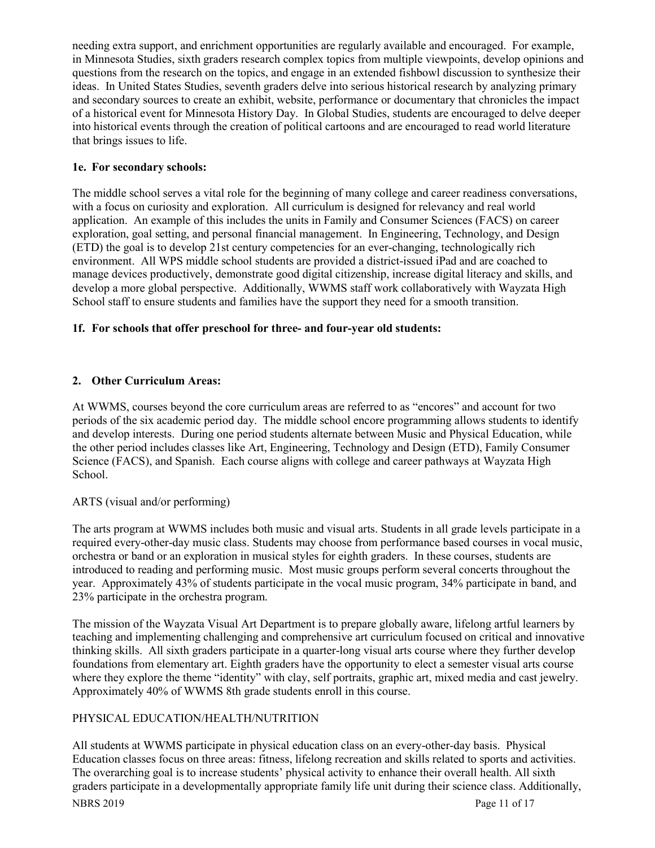needing extra support, and enrichment opportunities are regularly available and encouraged. For example, in Minnesota Studies, sixth graders research complex topics from multiple viewpoints, develop opinions and questions from the research on the topics, and engage in an extended fishbowl discussion to synthesize their ideas. In United States Studies, seventh graders delve into serious historical research by analyzing primary and secondary sources to create an exhibit, website, performance or documentary that chronicles the impact of a historical event for Minnesota History Day. In Global Studies, students are encouraged to delve deeper into historical events through the creation of political cartoons and are encouraged to read world literature that brings issues to life.

# **1e. For secondary schools:**

The middle school serves a vital role for the beginning of many college and career readiness conversations, with a focus on curiosity and exploration. All curriculum is designed for relevancy and real world application. An example of this includes the units in Family and Consumer Sciences (FACS) on career exploration, goal setting, and personal financial management. In Engineering, Technology, and Design (ETD) the goal is to develop 21st century competencies for an ever-changing, technologically rich environment. All WPS middle school students are provided a district-issued iPad and are coached to manage devices productively, demonstrate good digital citizenship, increase digital literacy and skills, and develop a more global perspective. Additionally, WWMS staff work collaboratively with Wayzata High School staff to ensure students and families have the support they need for a smooth transition.

### **1f. For schools that offer preschool for three- and four-year old students:**

# **2. Other Curriculum Areas:**

At WWMS, courses beyond the core curriculum areas are referred to as "encores" and account for two periods of the six academic period day. The middle school encore programming allows students to identify and develop interests. During one period students alternate between Music and Physical Education, while the other period includes classes like Art, Engineering, Technology and Design (ETD), Family Consumer Science (FACS), and Spanish. Each course aligns with college and career pathways at Wayzata High School.

#### ARTS (visual and/or performing)

The arts program at WWMS includes both music and visual arts. Students in all grade levels participate in a required every-other-day music class. Students may choose from performance based courses in vocal music, orchestra or band or an exploration in musical styles for eighth graders. In these courses, students are introduced to reading and performing music. Most music groups perform several concerts throughout the year. Approximately 43% of students participate in the vocal music program, 34% participate in band, and 23% participate in the orchestra program.

The mission of the Wayzata Visual Art Department is to prepare globally aware, lifelong artful learners by teaching and implementing challenging and comprehensive art curriculum focused on critical and innovative thinking skills. All sixth graders participate in a quarter-long visual arts course where they further develop foundations from elementary art. Eighth graders have the opportunity to elect a semester visual arts course where they explore the theme "identity" with clay, self portraits, graphic art, mixed media and cast jewelry. Approximately 40% of WWMS 8th grade students enroll in this course.

# PHYSICAL EDUCATION/HEALTH/NUTRITION

NBRS 2019 Page 11 of 17 All students at WWMS participate in physical education class on an every-other-day basis. Physical Education classes focus on three areas: fitness, lifelong recreation and skills related to sports and activities. The overarching goal is to increase students' physical activity to enhance their overall health. All sixth graders participate in a developmentally appropriate family life unit during their science class. Additionally,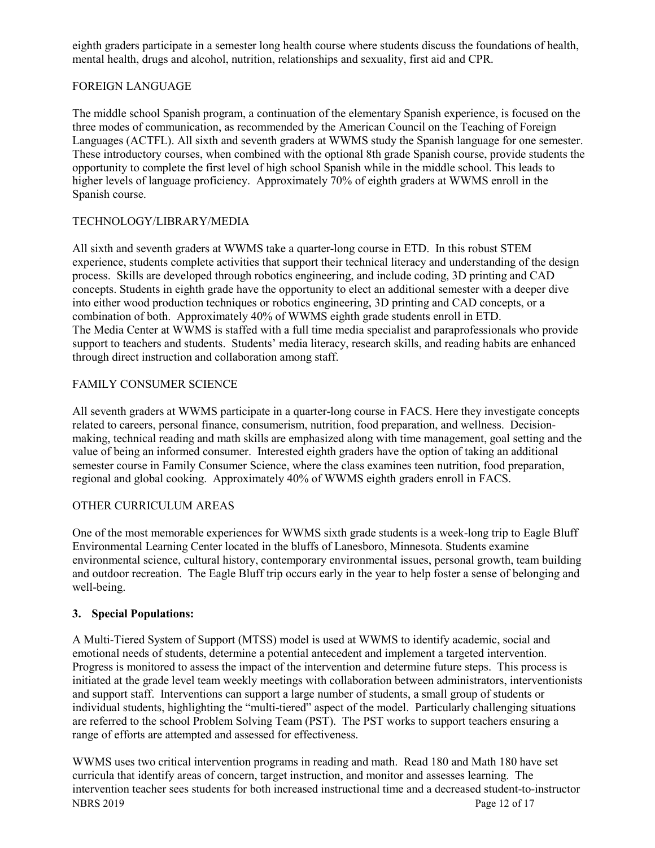eighth graders participate in a semester long health course where students discuss the foundations of health, mental health, drugs and alcohol, nutrition, relationships and sexuality, first aid and CPR.

# FOREIGN LANGUAGE

The middle school Spanish program, a continuation of the elementary Spanish experience, is focused on the three modes of communication, as recommended by the American Council on the Teaching of Foreign Languages (ACTFL). All sixth and seventh graders at WWMS study the Spanish language for one semester. These introductory courses, when combined with the optional 8th grade Spanish course, provide students the opportunity to complete the first level of high school Spanish while in the middle school. This leads to higher levels of language proficiency. Approximately 70% of eighth graders at WWMS enroll in the Spanish course.

# TECHNOLOGY/LIBRARY/MEDIA

All sixth and seventh graders at WWMS take a quarter-long course in ETD. In this robust STEM experience, students complete activities that support their technical literacy and understanding of the design process. Skills are developed through robotics engineering, and include coding, 3D printing and CAD concepts. Students in eighth grade have the opportunity to elect an additional semester with a deeper dive into either wood production techniques or robotics engineering, 3D printing and CAD concepts, or a combination of both. Approximately 40% of WWMS eighth grade students enroll in ETD. The Media Center at WWMS is staffed with a full time media specialist and paraprofessionals who provide support to teachers and students. Students' media literacy, research skills, and reading habits are enhanced through direct instruction and collaboration among staff.

### FAMILY CONSUMER SCIENCE

All seventh graders at WWMS participate in a quarter-long course in FACS. Here they investigate concepts related to careers, personal finance, consumerism, nutrition, food preparation, and wellness. Decisionmaking, technical reading and math skills are emphasized along with time management, goal setting and the value of being an informed consumer. Interested eighth graders have the option of taking an additional semester course in Family Consumer Science, where the class examines teen nutrition, food preparation, regional and global cooking. Approximately 40% of WWMS eighth graders enroll in FACS.

# OTHER CURRICULUM AREAS

One of the most memorable experiences for WWMS sixth grade students is a week-long trip to Eagle Bluff Environmental Learning Center located in the bluffs of Lanesboro, Minnesota. Students examine environmental science, cultural history, contemporary environmental issues, personal growth, team building and outdoor recreation. The Eagle Bluff trip occurs early in the year to help foster a sense of belonging and well-being.

#### **3. Special Populations:**

A Multi-Tiered System of Support (MTSS) model is used at WWMS to identify academic, social and emotional needs of students, determine a potential antecedent and implement a targeted intervention. Progress is monitored to assess the impact of the intervention and determine future steps. This process is initiated at the grade level team weekly meetings with collaboration between administrators, interventionists and support staff. Interventions can support a large number of students, a small group of students or individual students, highlighting the "multi-tiered" aspect of the model. Particularly challenging situations are referred to the school Problem Solving Team (PST). The PST works to support teachers ensuring a range of efforts are attempted and assessed for effectiveness.

NBRS 2019 Page 12 of 17 WWMS uses two critical intervention programs in reading and math. Read 180 and Math 180 have set curricula that identify areas of concern, target instruction, and monitor and assesses learning. The intervention teacher sees students for both increased instructional time and a decreased student-to-instructor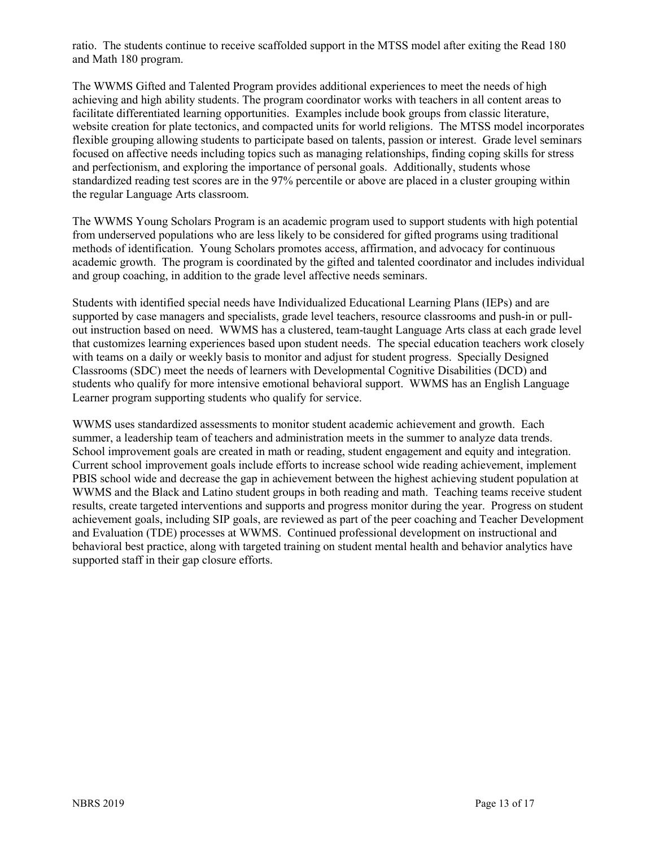ratio. The students continue to receive scaffolded support in the MTSS model after exiting the Read 180 and Math 180 program.

The WWMS Gifted and Talented Program provides additional experiences to meet the needs of high achieving and high ability students. The program coordinator works with teachers in all content areas to facilitate differentiated learning opportunities. Examples include book groups from classic literature, website creation for plate tectonics, and compacted units for world religions. The MTSS model incorporates flexible grouping allowing students to participate based on talents, passion or interest. Grade level seminars focused on affective needs including topics such as managing relationships, finding coping skills for stress and perfectionism, and exploring the importance of personal goals. Additionally, students whose standardized reading test scores are in the 97% percentile or above are placed in a cluster grouping within the regular Language Arts classroom.

The WWMS Young Scholars Program is an academic program used to support students with high potential from underserved populations who are less likely to be considered for gifted programs using traditional methods of identification. Young Scholars promotes access, affirmation, and advocacy for continuous academic growth. The program is coordinated by the gifted and talented coordinator and includes individual and group coaching, in addition to the grade level affective needs seminars.

Students with identified special needs have Individualized Educational Learning Plans (IEPs) and are supported by case managers and specialists, grade level teachers, resource classrooms and push-in or pullout instruction based on need. WWMS has a clustered, team-taught Language Arts class at each grade level that customizes learning experiences based upon student needs. The special education teachers work closely with teams on a daily or weekly basis to monitor and adjust for student progress. Specially Designed Classrooms (SDC) meet the needs of learners with Developmental Cognitive Disabilities (DCD) and students who qualify for more intensive emotional behavioral support. WWMS has an English Language Learner program supporting students who qualify for service.

WWMS uses standardized assessments to monitor student academic achievement and growth. Each summer, a leadership team of teachers and administration meets in the summer to analyze data trends. School improvement goals are created in math or reading, student engagement and equity and integration. Current school improvement goals include efforts to increase school wide reading achievement, implement PBIS school wide and decrease the gap in achievement between the highest achieving student population at WWMS and the Black and Latino student groups in both reading and math. Teaching teams receive student results, create targeted interventions and supports and progress monitor during the year. Progress on student achievement goals, including SIP goals, are reviewed as part of the peer coaching and Teacher Development and Evaluation (TDE) processes at WWMS. Continued professional development on instructional and behavioral best practice, along with targeted training on student mental health and behavior analytics have supported staff in their gap closure efforts.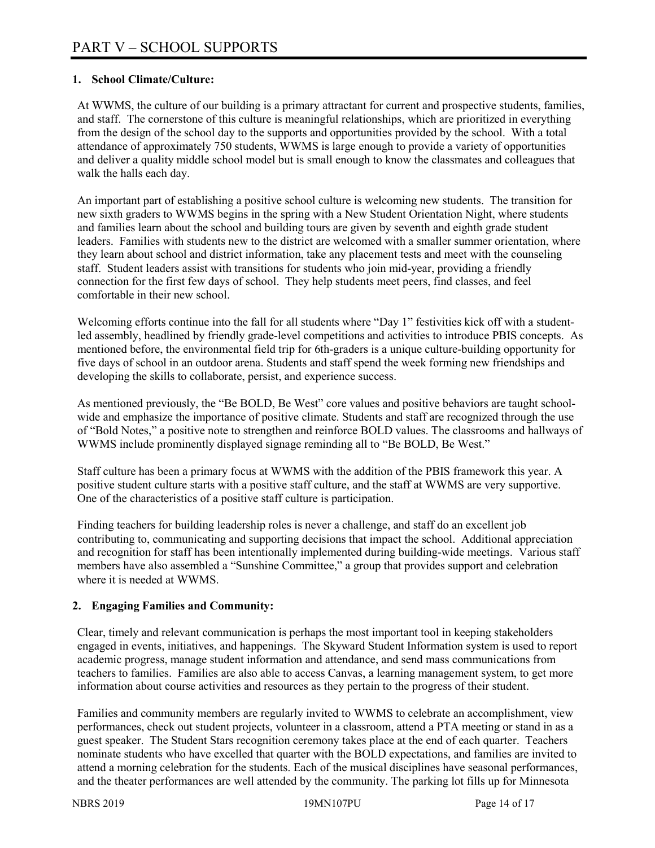# **1. School Climate/Culture:**

At WWMS, the culture of our building is a primary attractant for current and prospective students, families, and staff. The cornerstone of this culture is meaningful relationships, which are prioritized in everything from the design of the school day to the supports and opportunities provided by the school. With a total attendance of approximately 750 students, WWMS is large enough to provide a variety of opportunities and deliver a quality middle school model but is small enough to know the classmates and colleagues that walk the halls each day.

An important part of establishing a positive school culture is welcoming new students. The transition for new sixth graders to WWMS begins in the spring with a New Student Orientation Night, where students and families learn about the school and building tours are given by seventh and eighth grade student leaders. Families with students new to the district are welcomed with a smaller summer orientation, where they learn about school and district information, take any placement tests and meet with the counseling staff. Student leaders assist with transitions for students who join mid-year, providing a friendly connection for the first few days of school. They help students meet peers, find classes, and feel comfortable in their new school.

Welcoming efforts continue into the fall for all students where "Day 1" festivities kick off with a studentled assembly, headlined by friendly grade-level competitions and activities to introduce PBIS concepts. As mentioned before, the environmental field trip for 6th-graders is a unique culture-building opportunity for five days of school in an outdoor arena. Students and staff spend the week forming new friendships and developing the skills to collaborate, persist, and experience success.

As mentioned previously, the "Be BOLD, Be West" core values and positive behaviors are taught schoolwide and emphasize the importance of positive climate. Students and staff are recognized through the use of "Bold Notes," a positive note to strengthen and reinforce BOLD values. The classrooms and hallways of WWMS include prominently displayed signage reminding all to "Be BOLD, Be West."

Staff culture has been a primary focus at WWMS with the addition of the PBIS framework this year. A positive student culture starts with a positive staff culture, and the staff at WWMS are very supportive. One of the characteristics of a positive staff culture is participation.

Finding teachers for building leadership roles is never a challenge, and staff do an excellent job contributing to, communicating and supporting decisions that impact the school. Additional appreciation and recognition for staff has been intentionally implemented during building-wide meetings. Various staff members have also assembled a "Sunshine Committee," a group that provides support and celebration where it is needed at WWMS.

# **2. Engaging Families and Community:**

Clear, timely and relevant communication is perhaps the most important tool in keeping stakeholders engaged in events, initiatives, and happenings. The Skyward Student Information system is used to report academic progress, manage student information and attendance, and send mass communications from teachers to families. Families are also able to access Canvas, a learning management system, to get more information about course activities and resources as they pertain to the progress of their student.

Families and community members are regularly invited to WWMS to celebrate an accomplishment, view performances, check out student projects, volunteer in a classroom, attend a PTA meeting or stand in as a guest speaker. The Student Stars recognition ceremony takes place at the end of each quarter. Teachers nominate students who have excelled that quarter with the BOLD expectations, and families are invited to attend a morning celebration for the students. Each of the musical disciplines have seasonal performances, and the theater performances are well attended by the community. The parking lot fills up for Minnesota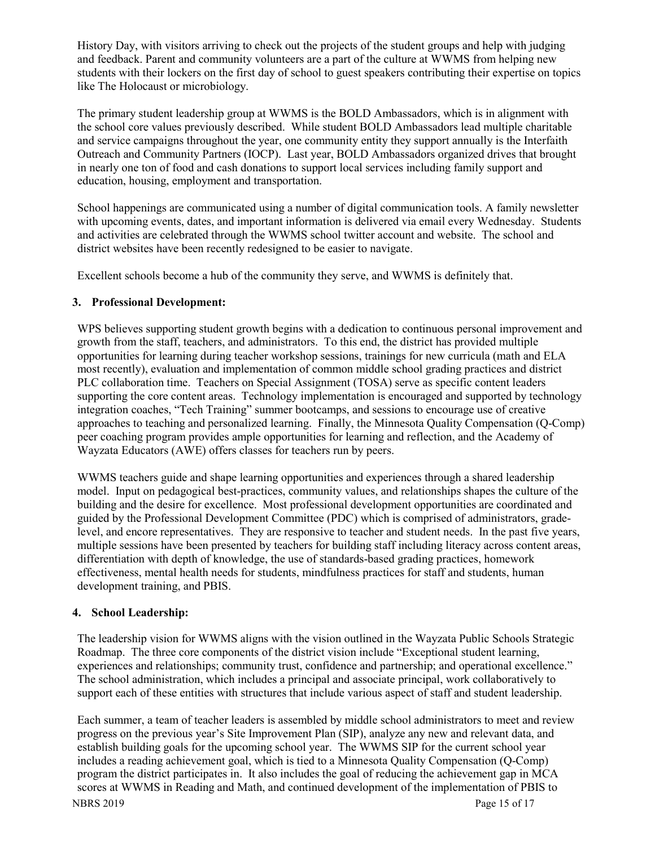History Day, with visitors arriving to check out the projects of the student groups and help with judging and feedback. Parent and community volunteers are a part of the culture at WWMS from helping new students with their lockers on the first day of school to guest speakers contributing their expertise on topics like The Holocaust or microbiology.

The primary student leadership group at WWMS is the BOLD Ambassadors, which is in alignment with the school core values previously described. While student BOLD Ambassadors lead multiple charitable and service campaigns throughout the year, one community entity they support annually is the Interfaith Outreach and Community Partners (IOCP). Last year, BOLD Ambassadors organized drives that brought in nearly one ton of food and cash donations to support local services including family support and education, housing, employment and transportation.

School happenings are communicated using a number of digital communication tools. A family newsletter with upcoming events, dates, and important information is delivered via email every Wednesday. Students and activities are celebrated through the WWMS school twitter account and website. The school and district websites have been recently redesigned to be easier to navigate.

Excellent schools become a hub of the community they serve, and WWMS is definitely that.

# **3. Professional Development:**

WPS believes supporting student growth begins with a dedication to continuous personal improvement and growth from the staff, teachers, and administrators. To this end, the district has provided multiple opportunities for learning during teacher workshop sessions, trainings for new curricula (math and ELA most recently), evaluation and implementation of common middle school grading practices and district PLC collaboration time. Teachers on Special Assignment (TOSA) serve as specific content leaders supporting the core content areas. Technology implementation is encouraged and supported by technology integration coaches, "Tech Training" summer bootcamps, and sessions to encourage use of creative approaches to teaching and personalized learning. Finally, the Minnesota Quality Compensation (Q-Comp) peer coaching program provides ample opportunities for learning and reflection, and the Academy of Wayzata Educators (AWE) offers classes for teachers run by peers.

WWMS teachers guide and shape learning opportunities and experiences through a shared leadership model. Input on pedagogical best-practices, community values, and relationships shapes the culture of the building and the desire for excellence. Most professional development opportunities are coordinated and guided by the Professional Development Committee (PDC) which is comprised of administrators, gradelevel, and encore representatives. They are responsive to teacher and student needs. In the past five years, multiple sessions have been presented by teachers for building staff including literacy across content areas, differentiation with depth of knowledge, the use of standards-based grading practices, homework effectiveness, mental health needs for students, mindfulness practices for staff and students, human development training, and PBIS.

# **4. School Leadership:**

The leadership vision for WWMS aligns with the vision outlined in the Wayzata Public Schools Strategic Roadmap. The three core components of the district vision include "Exceptional student learning, experiences and relationships; community trust, confidence and partnership; and operational excellence." The school administration, which includes a principal and associate principal, work collaboratively to support each of these entities with structures that include various aspect of staff and student leadership.

NBRS 2019 Page 15 of 17 Each summer, a team of teacher leaders is assembled by middle school administrators to meet and review progress on the previous year's Site Improvement Plan (SIP), analyze any new and relevant data, and establish building goals for the upcoming school year. The WWMS SIP for the current school year includes a reading achievement goal, which is tied to a Minnesota Quality Compensation (Q-Comp) program the district participates in. It also includes the goal of reducing the achievement gap in MCA scores at WWMS in Reading and Math, and continued development of the implementation of PBIS to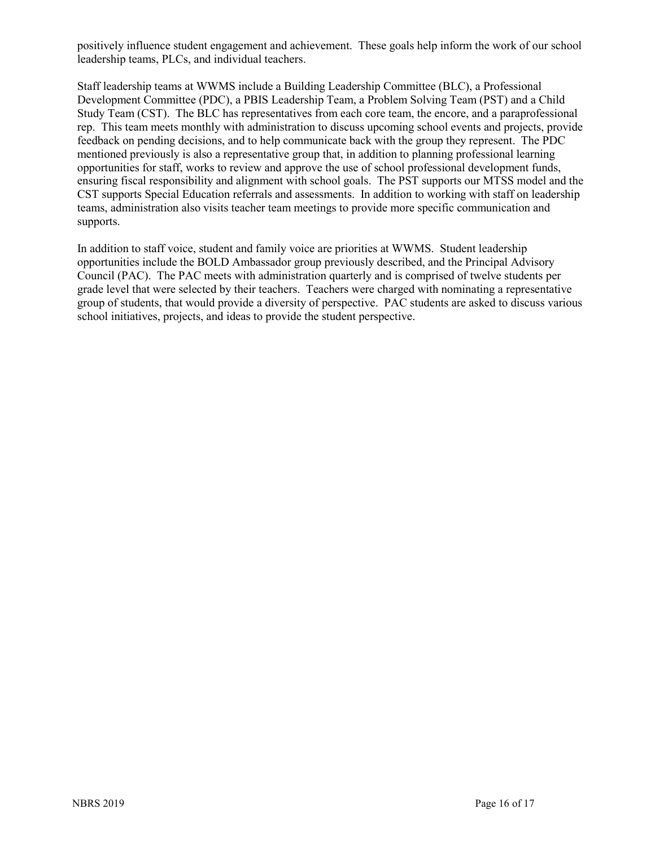positively influence student engagement and achievement. These goals help inform the work of our school leadership teams, PLCs, and individual teachers.

Staff leadership teams at WWMS include a Building Leadership Committee (BLC), a Professional Development Committee (PDC), a PBIS Leadership Team, a Problem Solving Team (PST) and a Child Study Team (CST). The BLC has representatives from each core team, the encore, and a paraprofessional rep. This team meets monthly with administration to discuss upcoming school events and projects, provide feedback on pending decisions, and to help communicate back with the group they represent. The PDC mentioned previously is also a representative group that, in addition to planning professional learning opportunities for staff, works to review and approve the use of school professional development funds, ensuring fiscal responsibility and alignment with school goals. The PST supports our MTSS model and the CST supports Special Education referrals and assessments. In addition to working with staff on leadership teams, administration also visits teacher team meetings to provide more specific communication and supports.

In addition to staff voice, student and family voice are priorities at WWMS. Student leadership opportunities include the BOLD Ambassador group previously described, and the Principal Advisory Council (PAC). The PAC meets with administration quarterly and is comprised of twelve students per grade level that were selected by their teachers. Teachers were charged with nominating a representative group of students, that would provide a diversity of perspective. PAC students are asked to discuss various school initiatives, projects, and ideas to provide the student perspective.